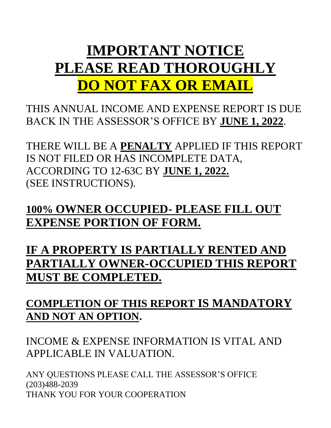# **IMPORTANT NOTICE PLEASE READ THOROUGHLY DO NOT FAX OR EMAIL**

THIS ANNUAL INCOME AND EXPENSE REPORT IS DUE BACK IN THE ASSESSOR'S OFFICE BY **JUNE 1, 2022**.

THERE WILL BE A **PENALTY** APPLIED IF THIS REPORT IS NOT FILED OR HAS INCOMPLETE DATA, ACCORDING TO 12-63C BY **JUNE 1, 2022.** (SEE INSTRUCTIONS).

**100% OWNER OCCUPIED- PLEASE FILL OUT EXPENSE PORTION OF FORM.**

**IF A PROPERTY IS PARTIALLY RENTED AND PARTIALLY OWNER-OCCUPIED THIS REPORT MUST BE COMPLETED.**

**COMPLETION OF THIS REPORT IS MANDATORY AND NOT AN OPTION.**

INCOME & EXPENSE INFORMATION IS VITAL AND APPLICABLE IN VALUATION.

ANY QUESTIONS PLEASE CALL THE ASSESSOR'S OFFICE (203)488-2039 THANK YOU FOR YOUR COOPERATION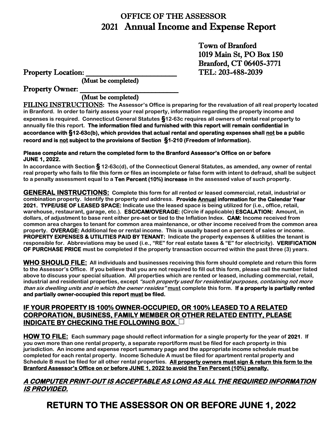# OFFICE OF THE ASSESSOR 2021 Annual Income and Expense Report

Town of Branford 1019 Main St, PO Box 150 Branford, CT 06405-3771 Property Location: TEL: 203-488-2039

(Must be completed)

Property Owner:

## (Must be completed)

FILING INSTRUCTIONS: **The Assessor's Office is preparing for the revaluation of all real property located in Branford. In order to fairly assess your real property, information regarding the property income and expenses is required. Connecticut General Statutes §12-63c requires all owners of rental real property to annually file this report. The information filed and furnished with this report will remain confidential in accordance with §12-63c(b), which provides that actual rental and operating expenses shall not be a public record and is not subject to the provisions of Section §1-210 (Freedom of Information).** 

#### **Please complete and return the completed form to the Branford Assessor's Office on or before JUNE 1, 2022.**

**In accordance with Section § 12-63c(d), of the Connecticut General Statutes, as amended, any owner of rental real property who fails to file this form or files an incomplete or false form with intent to defraud, shall be subject to a penalty assessment equal to a Ten Percent (10%) increase in the assessed value of such property.**

**GENERAL INSTRUCTIONS: Complete this form for all rented or leased commercial, retail, industrial or combination property. Identify the property and address. Provide Annual information for the Calendar Year 2021. TYPE/USE OF LEASED SPACE: Indicate use the leased space is being utilized for (i.e., office, retail, warehouse, restaurant, garage, etc.). ESC/CAM/OVERAGE: (Circle if applicable) ESCALATION: Amount, in dollars, of adjustment to base rent either pre-set or tied to the Inflation Index. CAM: Income received from common area charges to tenant for common area maintenance, or other income received from the common area property. OVERAGE: Additional fee or rental income. This is usually based on a percent of sales or income. PROPERTY EXPENSES & UTILITIES PAID BY TENANT: Indicate the property expenses & utilities the tenant is responsible for. Abbreviations may be used (i.e., "RE" for real estate taxes & "E" for electricity). VERIFICATION OF PURCHASE PRICE must be completed if the property transaction occurred within the past three (3) years.**

**WHO SHOULD FILE: All individuals and businesses receiving this form should complete and return this form to the Assessor's Office. If you believe that you are not required to fill out this form, please call the number listed above to discuss your special situation. All properties which are rented or leased, including commercial, retail, industrial and residential properties, except "such property used for residential purposes, containing not more than six dwelling units and in which the owner resides" must complete this form. If a property is partially rented and partially owner-occupied this report must be filed.**

#### **IF YOUR PROPERTY IS 100% OWNER-OCCUPIED, OR 100% LEASED TO A RELATED CORPORATION, BUSINESS, FAMILY MEMBER OR OTHER RELATED ENTITY, PLEASE INDICATE BY CHECKING THE FOLLOWING BOX.**

**HOW TO FILE: Each summary page should reflect information for a single property for the year of 2021. If you own more than one rental property, a separate report/form must be filed for each property in this jurisdiction. An income and expense report summary page and the appropriate income schedule must be completed for each rental property. Income Schedule A must be filed for apartment rental property and Schedule B must be filed for all other rental properties. All property owners must sign & return this form to the Branford Assessor's Office on or before JUNE 1, 2022 to avoid the Ten Percent (10%) penalty.**

## **A COMPUTER PRINT-OUT IS ACCEPTABLE AS LONG AS ALL THE REQUIRED INFORMATION IS PROVIDED.**

**RETURN TO THE ASSESSOR ON OR BEFORE JUNE 1, 2022**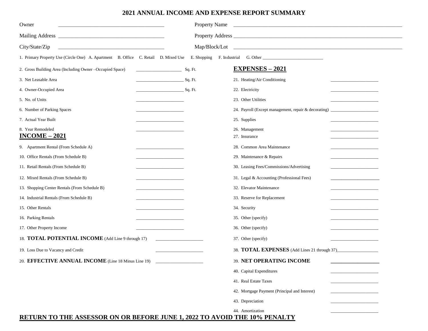#### **2021 ANNUAL INCOME AND EXPENSE REPORT SUMMARY**

| Owner                                                                                                                                                                                                                                           |                                              | <b>Property Name</b> | <u> 1989 - Johann Stoff, amerikansk politiker (d. 1989)</u>                      |                                       |
|-------------------------------------------------------------------------------------------------------------------------------------------------------------------------------------------------------------------------------------------------|----------------------------------------------|----------------------|----------------------------------------------------------------------------------|---------------------------------------|
|                                                                                                                                                                                                                                                 |                                              |                      |                                                                                  |                                       |
| City/State/Zip<br>the control of the control of the control of the control of the control of the control of the control of the control of the control of the control of the control of the control of the control of the control of the control |                                              |                      |                                                                                  |                                       |
| 1. Primary Property Use (Circle One) A. Apartment B. Office C. Retail D. Mixed Use                                                                                                                                                              |                                              | E. Shopping          |                                                                                  |                                       |
| 2. Gross Building Area (Including Owner -Occupied Space)                                                                                                                                                                                        | <u> 1990 - Johann Barn, mars ann an t-</u>   | Sq. Ft.              | <b>EXPENSES - 2021</b>                                                           |                                       |
| 3. Net Leasable Area                                                                                                                                                                                                                            | <u>Sq. Ft.</u>                               |                      | 21. Heating/Air Conditioning                                                     |                                       |
| 4. Owner-Occupied Area                                                                                                                                                                                                                          | <u>Sq. Ft.</u>                               |                      | 22. Electricity                                                                  |                                       |
| 5. No. of Units                                                                                                                                                                                                                                 |                                              |                      | 23. Other Utilities                                                              |                                       |
| 6. Number of Parking Spaces                                                                                                                                                                                                                     |                                              |                      | 24. Payroll (Except management, repair & decorating) ___________________________ |                                       |
| 7. Actual Year Built                                                                                                                                                                                                                            |                                              |                      | 25. Supplies                                                                     |                                       |
| 8. Year Remodeled<br>$INCOME - 2021$                                                                                                                                                                                                            |                                              |                      | 26. Management<br>27. Insurance                                                  |                                       |
| 9. Apartment Rental (From Schedule A)                                                                                                                                                                                                           |                                              |                      | 28. Common Area Maintenance                                                      |                                       |
| 10. Office Rentals (From Schedule B)                                                                                                                                                                                                            |                                              |                      | 29. Maintenance & Repairs                                                        |                                       |
| 11. Retail Rentals (From Schedule B)                                                                                                                                                                                                            | <u> 1989 - Johann Barnett, fransk kongre</u> |                      | 30. Leasing Fees/Commissions/Advertising                                         | <u> 1989 - Johann Barbara, martxa</u> |
| 12. Mixed Rentals (From Schedule B)                                                                                                                                                                                                             |                                              |                      | 31. Legal & Accounting (Professional Fees)                                       |                                       |
| 13. Shopping Center Rentals (From Schedule B)                                                                                                                                                                                                   | <u> 1980 - John Harrison, mars et al. (</u>  |                      | 32. Elevator Maintenance                                                         |                                       |
| 14. Industrial Rentals (From Schedule B)                                                                                                                                                                                                        |                                              |                      | 33. Reserve for Replacement                                                      |                                       |
| 15. Other Rentals                                                                                                                                                                                                                               |                                              |                      | 34. Security                                                                     |                                       |
| 16. Parking Rentals                                                                                                                                                                                                                             |                                              |                      | 35. Other (specify)                                                              |                                       |
| 17. Other Property Income                                                                                                                                                                                                                       |                                              |                      | 36. Other (specify)                                                              |                                       |
| 18. TOTAL POTENTIAL INCOME (Add Line 9 through 17)                                                                                                                                                                                              |                                              |                      | 37. Other (specify)                                                              |                                       |
| 19. Loss Due to Vacancy and Credit                                                                                                                                                                                                              |                                              |                      | 38. TOTAL EXPENSES (Add Lines 21 through 37)                                     |                                       |
| 20. EFFECTIVE ANNUAL INCOME (Line 18 Minus Line 19)                                                                                                                                                                                             |                                              |                      | 39. NET OPERATING INCOME                                                         |                                       |
|                                                                                                                                                                                                                                                 |                                              |                      | 40. Capital Expenditures                                                         |                                       |
|                                                                                                                                                                                                                                                 |                                              |                      | 41. Real Estate Taxes                                                            |                                       |
|                                                                                                                                                                                                                                                 |                                              |                      | 42. Mortgage Payment (Principal and Interest)                                    |                                       |
|                                                                                                                                                                                                                                                 |                                              |                      | 43. Depreciation                                                                 |                                       |
|                                                                                                                                                                                                                                                 |                                              |                      | 44. Amortization                                                                 |                                       |

### **RETURN TO THE ASSESSOR ON OR BEFORE JUNE 1, 2022 TO AVOID THE 10% PENALTY**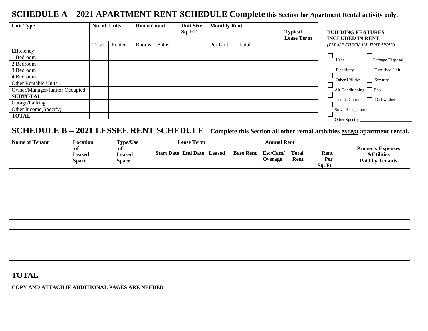# **SCHEDULE A – 2021 APARTMENT RENT SCHEDULE Complete this Section for Apartment Rental activity only.**

| <b>Unit Type</b>               | No. of Units |        | <b>Room Count</b> |              | <b>Unit Size</b> | <b>Monthly Rent</b> |       |                   |                                      |
|--------------------------------|--------------|--------|-------------------|--------------|------------------|---------------------|-------|-------------------|--------------------------------------|
|                                |              |        |                   |              | Sq. FT           |                     |       | <b>Typical</b>    | <b>BUILDING FEATURES</b>             |
|                                |              |        |                   |              |                  |                     |       | <b>Lease Term</b> | <b>INCLUDED IN RENT</b>              |
|                                | Total        | Rented | Rooms             | <b>Baths</b> |                  | Per Unit            | Total |                   | (PLEASE CHECK ALL THAT APPLY)        |
| Efficiency                     |              |        |                   |              |                  |                     |       |                   |                                      |
| Bedroom                        |              |        |                   |              |                  |                     |       |                   | Garbage Disposal<br>Heat             |
| 2 Bedroom                      |              |        |                   |              |                  |                     |       |                   |                                      |
| 3 Bedroom                      |              |        |                   |              |                  |                     |       |                   | <b>Furnished Unit</b><br>Electricity |
| 4 Bedroom                      |              |        |                   |              |                  |                     |       |                   | <b>Other Utilities</b><br>Security   |
| Other Rentable Units           |              |        |                   |              |                  |                     |       |                   |                                      |
| Owner/Manager/Janitor Occupied |              |        |                   |              |                  |                     |       |                   | Air Conditioning<br>Pool             |
| <b>SUBTOTAL</b>                |              |        |                   |              |                  |                     |       |                   |                                      |
| Garage/Parking                 |              |        |                   |              |                  |                     |       |                   | <b>Tennis Courts</b><br>Dishwasher   |
| Other Income(Specify)          |              |        |                   |              |                  |                     |       |                   | <b>Stove Refrigerator</b>            |
| <b>TOTAL</b>                   |              |        |                   |              |                  |                     |       |                   |                                      |
|                                |              |        |                   |              |                  |                     |       |                   | Other Specify                        |

# **SCHEDULE B – 2021 LESSEE RENT SCHEDULE Complete this Section all other rental activities** *except* **apartment rental.**

| Type/Use<br><b>Name of Tenant</b><br>Location |                                     |                                     |                            | <b>Lease Term</b> |               |                  | <b>Annual Rent</b>  |                      |                        |                                                                             |  |
|-----------------------------------------------|-------------------------------------|-------------------------------------|----------------------------|-------------------|---------------|------------------|---------------------|----------------------|------------------------|-----------------------------------------------------------------------------|--|
|                                               | of<br><b>Leased</b><br><b>Space</b> | of<br><b>Leased</b><br><b>Space</b> | <b>Start Date End Date</b> |                   | <b>Leased</b> | <b>Base Rent</b> | Esc/Cam/<br>Overage | <b>Total</b><br>Rent | Rent<br>Per<br>Sq. Ft. | <b>Property Expenses</b><br><b>&amp;Utilities</b><br><b>Paid by Tenants</b> |  |
|                                               |                                     |                                     |                            |                   |               |                  |                     |                      |                        |                                                                             |  |
|                                               |                                     |                                     |                            |                   |               |                  |                     |                      |                        |                                                                             |  |
|                                               |                                     |                                     |                            |                   |               |                  |                     |                      |                        |                                                                             |  |
|                                               |                                     |                                     |                            |                   |               |                  |                     |                      |                        |                                                                             |  |
|                                               |                                     |                                     |                            |                   |               |                  |                     |                      |                        |                                                                             |  |
|                                               |                                     |                                     |                            |                   |               |                  |                     |                      |                        |                                                                             |  |
|                                               |                                     |                                     |                            |                   |               |                  |                     |                      |                        |                                                                             |  |
|                                               |                                     |                                     |                            |                   |               |                  |                     |                      |                        |                                                                             |  |
|                                               |                                     |                                     |                            |                   |               |                  |                     |                      |                        |                                                                             |  |
|                                               |                                     |                                     |                            |                   |               |                  |                     |                      |                        |                                                                             |  |
| <b>TOTAL</b>                                  |                                     |                                     |                            |                   |               |                  |                     |                      |                        |                                                                             |  |

**COPY AND ATTACH IF ADDITIONAL PAGES ARE NEEDED**